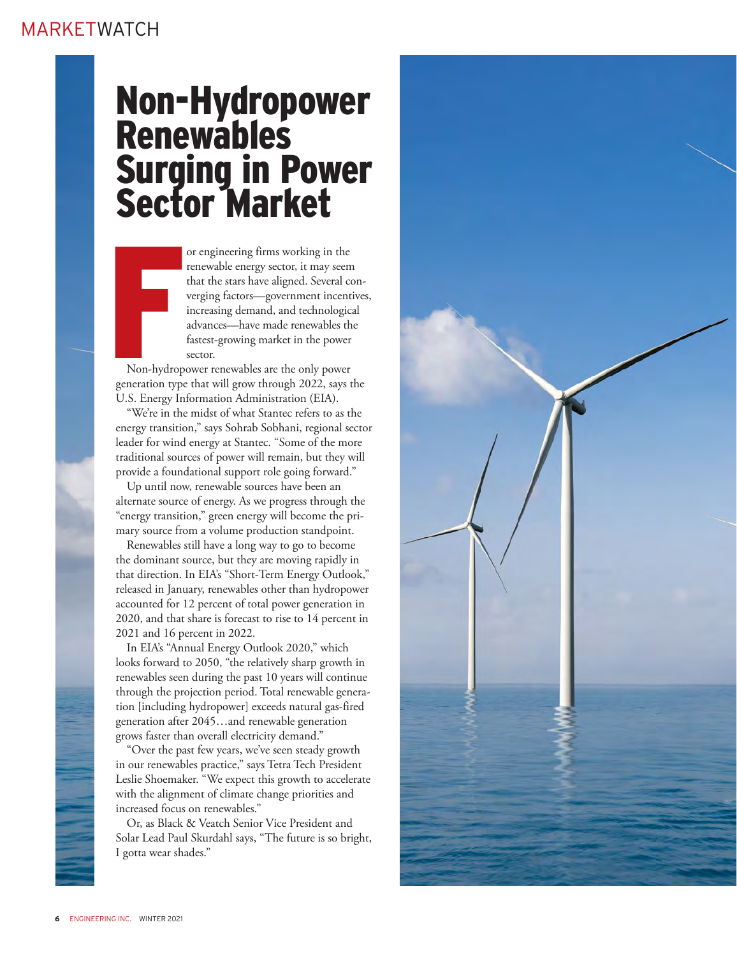# Non-Hydropower **Renewables** Surging in Power Sector Market

or engineering firms working in the renewable energy sector, it may seem that the stars have aligned. Several converging factors—government incentives, increasing demand, and technological advances—have made renewables the fastest-growing market in the power sector.

Formal<br>Francisco<br>Francisco<br>Francisco<br>Francisco<br>Francisco<br>Francisco<br>Francisco<br>Francisco Non-hydropower renewables are the only power generation type that will grow through 2022, says the U.S. Energy Information Administration (EIA).

"We're in the midst of what Stantec refers to as the energy transition," says Sohrab Sobhani, regional sector leader for wind energy at Stantec. "Some of the more traditional sources of power will remain, but they will provide a foundational support role going forward."

Up until now, renewable sources have been an alternate source of energy. As we progress through the "energy transition," green energy will become the primary source from a volume production standpoint.

Renewables still have a long way to go to become the dominant source, but they are moving rapidly in that direction. In EIA's "Short-Term Energy Outlook," released in January, renewables other than hydropower accounted for 12 percent of total power generation in 2020, and that share is forecast to rise to 14 percent in 2021 and 16 percent in 2022.

In EIA's "Annual Energy Outlook 2020," which looks forward to 2050, "the relatively sharp growth in renewables seen during the past 10 years will continue through the projection period. Total renewable generation [including hydropower] exceeds natural gas-fired generation after 2045…and renewable generation grows faster than overall electricity demand."

"Over the past few years, we've seen steady growth in our renewables practice," says Tetra Tech President Leslie Shoemaker. "We expect this growth to accelerate with the alignment of climate change priorities and increased focus on renewables."

Or, as Black & Veatch Senior Vice President and Solar Lead Paul Skurdahl says, "The future is so bright, I gotta wear shades."

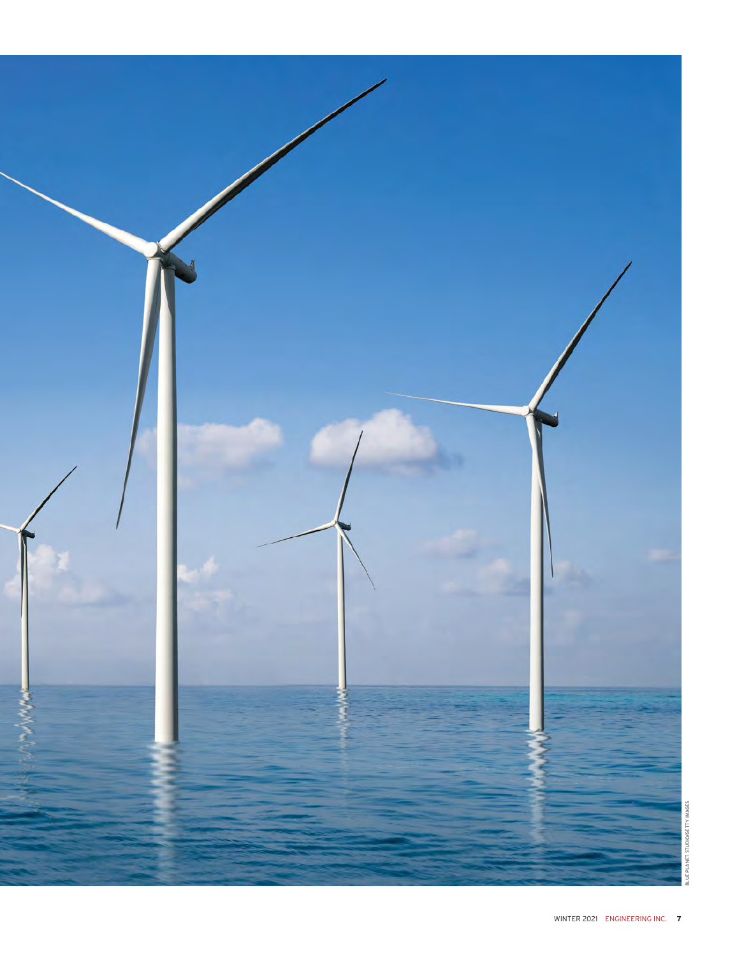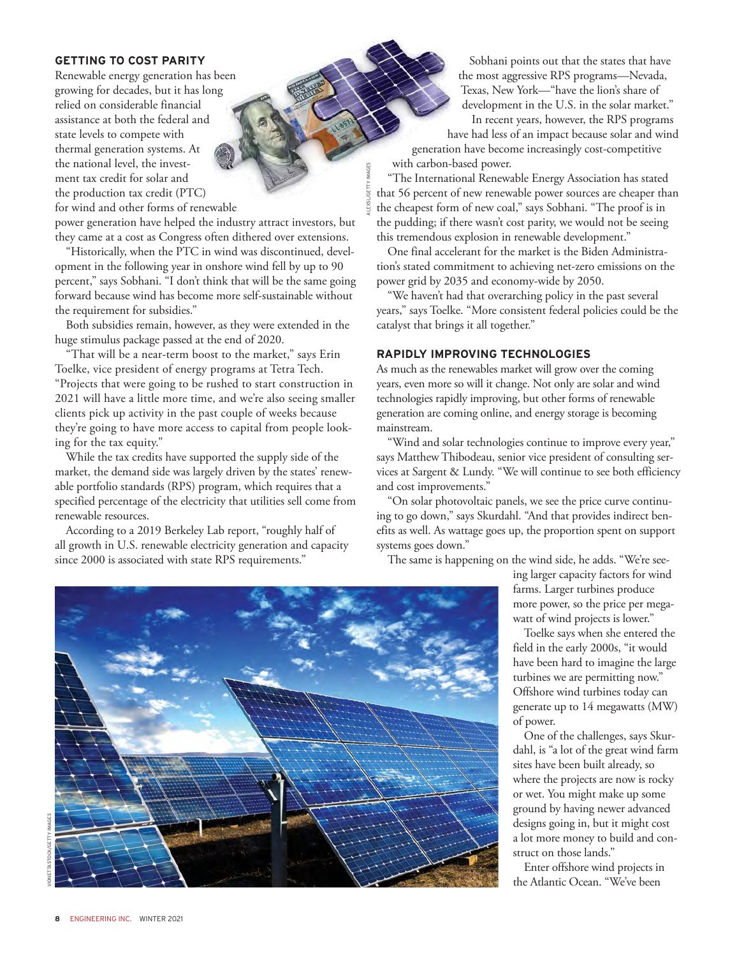### **GETTING TO COST PARITY**

Renewable energy generation has been growing for decades, but it has long relied on considerable financial assistance at both the federal and state levels to compete with thermal generation systems. At the national level, the investment tax credit for solar and the production tax credit (PTC) for wind and other forms of renewable

power generation have helped the industry attract investors, but they came at a cost as Congress often dithered over extensions.

"Historically, when the PTC in wind was discontinued, development in the following year in onshore wind fell by up to 90 percent," says Sobhani. "I don't think that will be the same going forward because wind has become more self-sustainable without the requirement for subsidies."

Both subsidies remain, however, as they were extended in the huge stimulus package passed at the end of 2020.

"That will be a near-term boost to the market," says Erin Toelke, vice president of energy programs at Tetra Tech. "Projects that were going to be rushed to start construction in 2021 will have a little more time, and we're also seeing smaller clients pick up activity in the past couple of weeks because they're going to have more access to capital from people looking for the tax equity."

While the tax credits have supported the supply side of the market, the demand side was largely driven by the states' renewable portfolio standards (RPS) program, which requires that a specified percentage of the electricity that utilities sell come from renewable resources.

According to a 2019 Berkeley Lab report, "roughly half of all growth in U.S. renewable electricity generation and capacity since 2000 is associated with state RPS requirements."

Sobhani points out that the states that have the most aggressive RPS programs—Nevada, Texas, New York—"have the lion's share of development in the U.S. in the solar market."

In recent years, however, the RPS programs have had less of an impact because solar and wind generation have become increasingly cost-competitive with carbon-based power.

"The International Renewable Energy Association has stated that 56 percent of new renewable power sources are cheaper than the cheapest form of new coal," says Sobhani. "The proof is in the pudding; if there wasn't cost parity, we would not be seeing this tremendous explosion in renewable development."

One final accelerant for the market is the Biden Administration's stated commitment to achieving net-zero emissions on the power grid by 2035 and economy-wide by 2050.

"We haven't had that overarching policy in the past several years," says Toelke. "More consistent federal policies could be the catalyst that brings it all together."

# **RAPIDLY IMPROVING TECHNOLOGIES**

ALEXSL/GETTY IMAGES

As much as the renewables market will grow over the coming years, even more so will it change. Not only are solar and wind technologies rapidly improving, but other forms of renewable generation are coming online, and energy storage is becoming mainstream.

"Wind and solar technologies continue to improve every year," says Matthew Thibodeau, senior vice president of consulting services at Sargent & Lundy. "We will continue to see both efficiency and cost improvements."

"On solar photovoltaic panels, we see the price curve continuing to go down," says Skurdahl. "And that provides indirect benefits as well. As wattage goes up, the proportion spent on support systems goes down."

The same is happening on the wind side, he adds. "We're see-



ing larger capacity factors for wind farms. Larger turbines produce more power, so the price per megawatt of wind projects is lower."

Toelke says when she entered the field in the early 2000s, "it would have been hard to imagine the large turbines we are permitting now." Offshore wind turbines today can generate up to 14 megawatts (MW) of power.

One of the challenges, says Skurdahl, is "a lot of the great wind farm sites have been built already, so where the projects are now is rocky or wet. You might make up some ground by having newer advanced designs going in, but it might cost a lot more money to build and construct on those lands."

Enter offshore wind projects in the Atlantic Ocean. "We've been